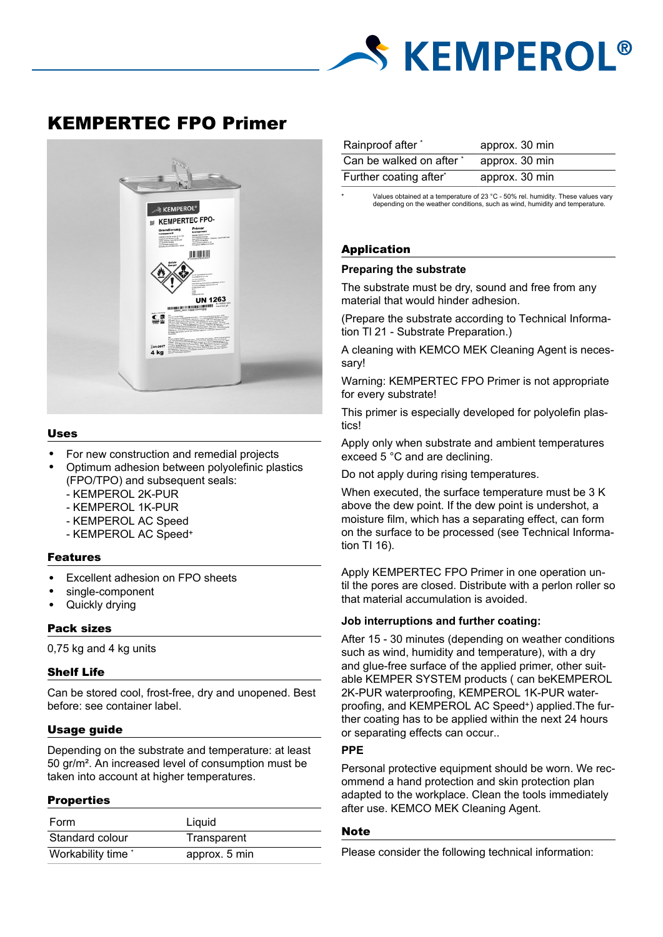

# KEMPERTEC FPO Primer



#### Uses

- For new construction and remedial projects
- Optimum adhesion between polyolefinic plastics (FPO/TPO) and subsequent seals:
	- KEMPEROL 2K-PUR
	- KEMPEROL 1K-PUR
	- KEMPEROL AC Speed
	- KEMPEROL AC Speed<sup>+</sup>

## Features

- Excellent adhesion on FPO sheets
- single-component
- Quickly drying

#### Pack sizes

0,75 kg and 4 kg units

#### Shelf Life

Can be stored cool, frost-free, dry and unopened. Best before: see container label.

#### Usage guide

Depending on the substrate and temperature: at least 50 gr/m². An increased level of consumption must be taken into account at higher temperatures.

#### **Properties**

| Form               | Liguid        |
|--------------------|---------------|
| Standard colour    | Transparent   |
| Workability time * | approx. 5 min |

| Rainproof after *        | approx. 30 min |
|--------------------------|----------------|
| Can be walked on after * | approx. 30 min |
| Further coating after*   | approx. 30 min |

Values obtained at a temperature of 23 °C - 50% rel. humidity. These values vary depending on the weather conditions, such as wind, humidity and temperature.

# Application

#### **Preparing the substrate**

The substrate must be dry, sound and free from any material that would hinder adhesion.

(Prepare the substrate according to Technical Information TI 21 - Substrate Preparation.)

A cleaning with KEMCO MEK Cleaning Agent is necessary!

Warning: KEMPERTEC FPO Primer is not appropriate for every substrate!

This primer is especially developed for polyolefin plastics!

Apply only when substrate and ambient temperatures exceed 5 °C and are declining.

Do not apply during rising temperatures.

When executed, the surface temperature must be 3 K above the dew point. If the dew point is undershot, a moisture film, which has a separating effect, can form on the surface to be processed (see Technical Information TI 16).

Apply KEMPERTEC FPO Primer in one operation until the pores are closed. Distribute with a perlon roller so that material accumulation is avoided.

#### **Job interruptions and further coating:**

After 15 - 30 minutes (depending on weather conditions such as wind, humidity and temperature), with a dry and glue-free surface of the applied primer, other suitable KEMPER SYSTEM products ( can beKEMPEROL 2K-PUR waterproofing, KEMPEROL 1K-PUR waterproofing, and KEMPEROL AC Speed+) applied. The further coating has to be applied within the next 24 hours or separating effects can occur..

#### **PPE**

Personal protective equipment should be worn. We recommend a hand protection and skin protection plan adapted to the workplace. Clean the tools immediately after use. KEMCO MEK Cleaning Agent.

### **Note**

Please consider the following technical information: